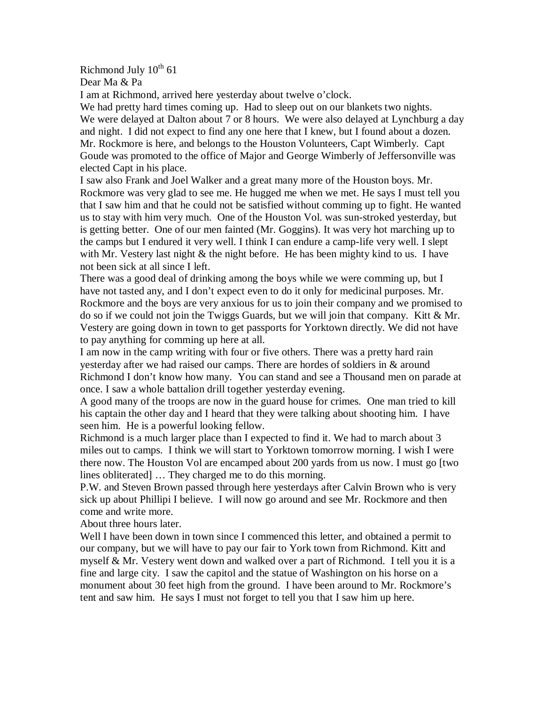Richmond July  $10^{th}$  61

Dear Ma & Pa

I am at Richmond, arrived here yesterday about twelve o'clock.

We had pretty hard times coming up. Had to sleep out on our blankets two nights. We were delayed at Dalton about 7 or 8 hours. We were also delayed at Lynchburg a day and night. I did not expect to find any one here that I knew, but I found about a dozen. Mr. Rockmore is here, and belongs to the Houston Volunteers, Capt Wimberly. Capt Goude was promoted to the office of Major and George Wimberly of Jeffersonville was elected Capt in his place.

I saw also Frank and Joel Walker and a great many more of the Houston boys. Mr. Rockmore was very glad to see me. He hugged me when we met. He says I must tell you that I saw him and that he could not be satisfied without comming up to fight. He wanted us to stay with him very much. One of the Houston Vol. was sun-stroked yesterday, but is getting better. One of our men fainted (Mr. Goggins). It was very hot marching up to the camps but I endured it very well. I think I can endure a camp-life very well. I slept with Mr. Vestery last night & the night before. He has been mighty kind to us. I have not been sick at all since I left.

There was a good deal of drinking among the boys while we were comming up, but I have not tasted any, and I don't expect even to do it only for medicinal purposes. Mr. Rockmore and the boys are very anxious for us to join their company and we promised to do so if we could not join the Twiggs Guards, but we will join that company. Kitt & Mr. Vestery are going down in town to get passports for Yorktown directly. We did not have to pay anything for comming up here at all.

I am now in the camp writing with four or five others. There was a pretty hard rain yesterday after we had raised our camps. There are hordes of soldiers in & around Richmond I don't know how many. You can stand and see a Thousand men on parade at once. I saw a whole battalion drill together yesterday evening.

A good many of the troops are now in the guard house for crimes. One man tried to kill his captain the other day and I heard that they were talking about shooting him. I have seen him. He is a powerful looking fellow.

Richmond is a much larger place than I expected to find it. We had to march about 3 miles out to camps. I think we will start to Yorktown tomorrow morning. I wish I were there now. The Houston Vol are encamped about 200 yards from us now. I must go [two lines obliterated] … They charged me to do this morning.

P.W. and Steven Brown passed through here yesterdays after Calvin Brown who is very sick up about Phillipi I believe. I will now go around and see Mr. Rockmore and then come and write more.

About three hours later.

Well I have been down in town since I commenced this letter, and obtained a permit to our company, but we will have to pay our fair to York town from Richmond. Kitt and myself & Mr. Vestery went down and walked over a part of Richmond. I tell you it is a fine and large city. I saw the capitol and the statue of Washington on his horse on a monument about 30 feet high from the ground. I have been around to Mr. Rockmore's tent and saw him. He says I must not forget to tell you that I saw him up here.